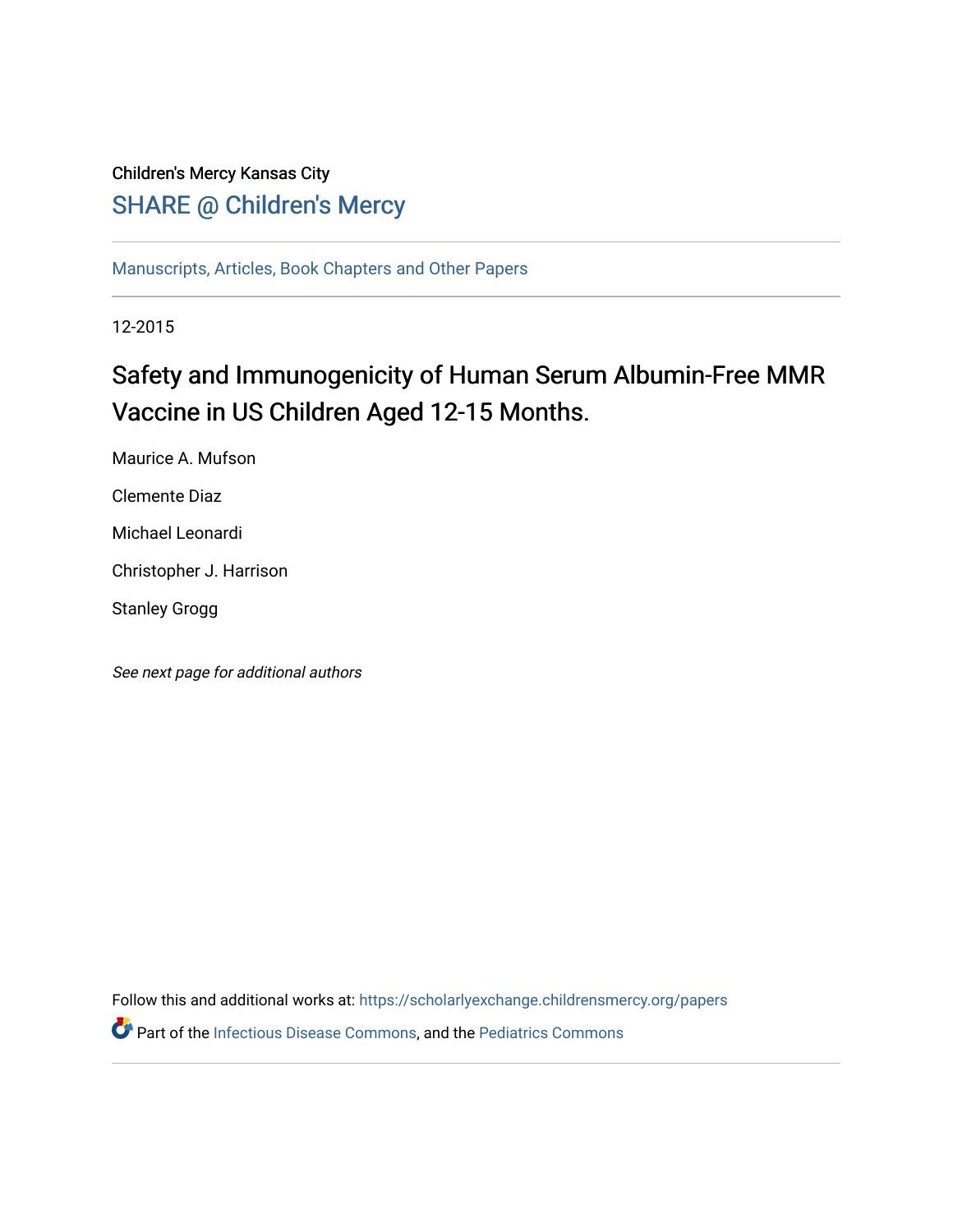## Children's Mercy Kansas City SHARE @ Children's Mercy

[Manuscripts, Articles, Book Chapters and Other Papers](https://scholarlyexchange.childrensmercy.org/papers)

12-2015

## Safety and Immunogenicity of Human Serum Albumin-Free MMR Vaccine in US Children Aged 12-15 Months.

Maurice A. Mufson Clemente Diaz

Michael Leonardi

Christopher J. Harrison

Stanley Grogg

See next page for additional authors

Follow this and additional works at: [https://scholarlyexchange.childrensmercy.org/papers](https://scholarlyexchange.childrensmercy.org/papers?utm_source=scholarlyexchange.childrensmercy.org%2Fpapers%2F4221&utm_medium=PDF&utm_campaign=PDFCoverPages)  Part of the [Infectious Disease Commons,](http://network.bepress.com/hgg/discipline/689?utm_source=scholarlyexchange.childrensmercy.org%2Fpapers%2F4221&utm_medium=PDF&utm_campaign=PDFCoverPages) and the [Pediatrics Commons](http://network.bepress.com/hgg/discipline/700?utm_source=scholarlyexchange.childrensmercy.org%2Fpapers%2F4221&utm_medium=PDF&utm_campaign=PDFCoverPages)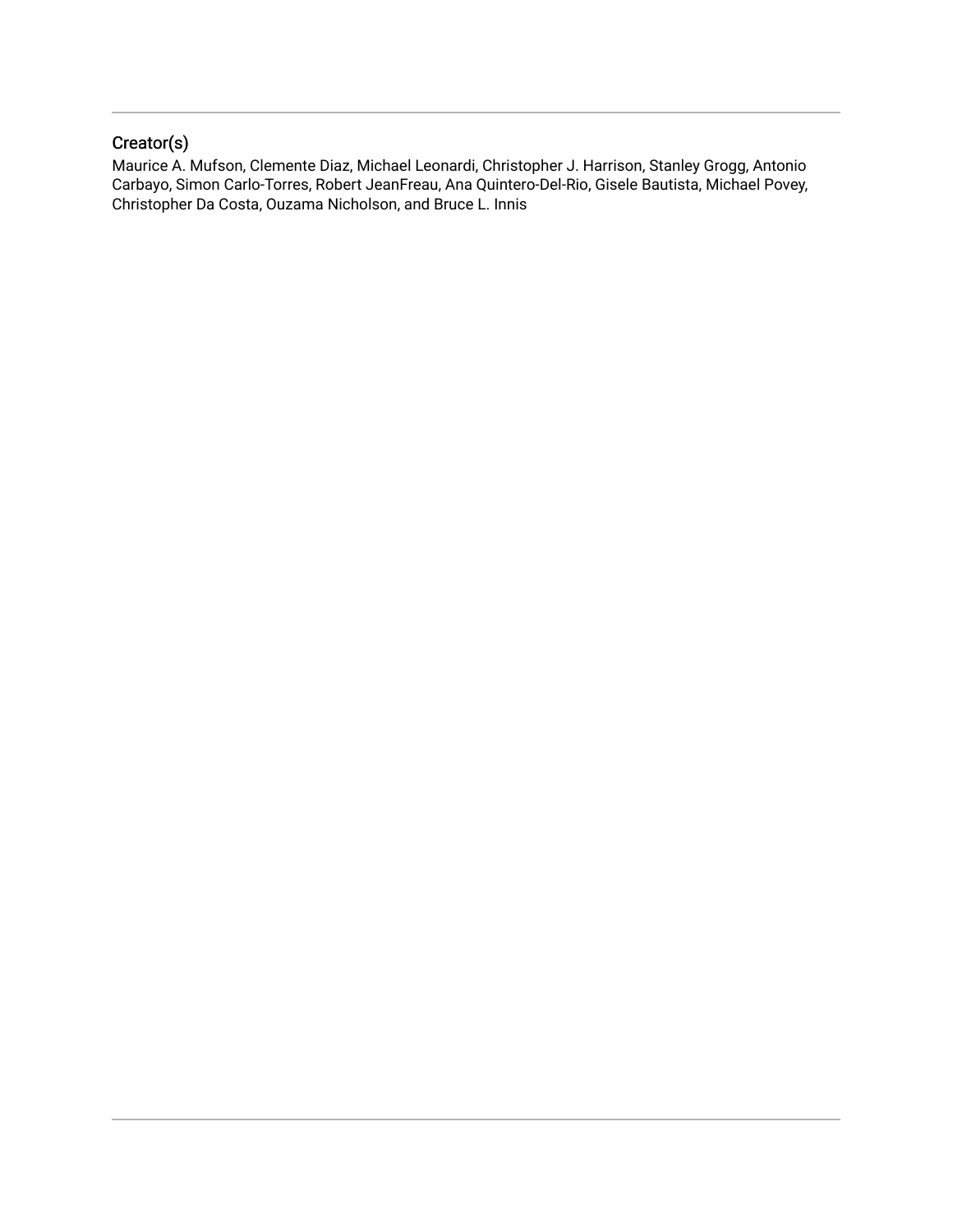### Creator(s)

Maurice A. Mufson, Clemente Diaz, Michael Leonardi, Christopher J. Harrison, Stanley Grogg, Antonio Carbayo, Simon Carlo-Torres, Robert JeanFreau, Ana Quintero-Del-Rio, Gisele Bautista, Michael Povey, Christopher Da Costa, Ouzama Nicholson, and Bruce L. Innis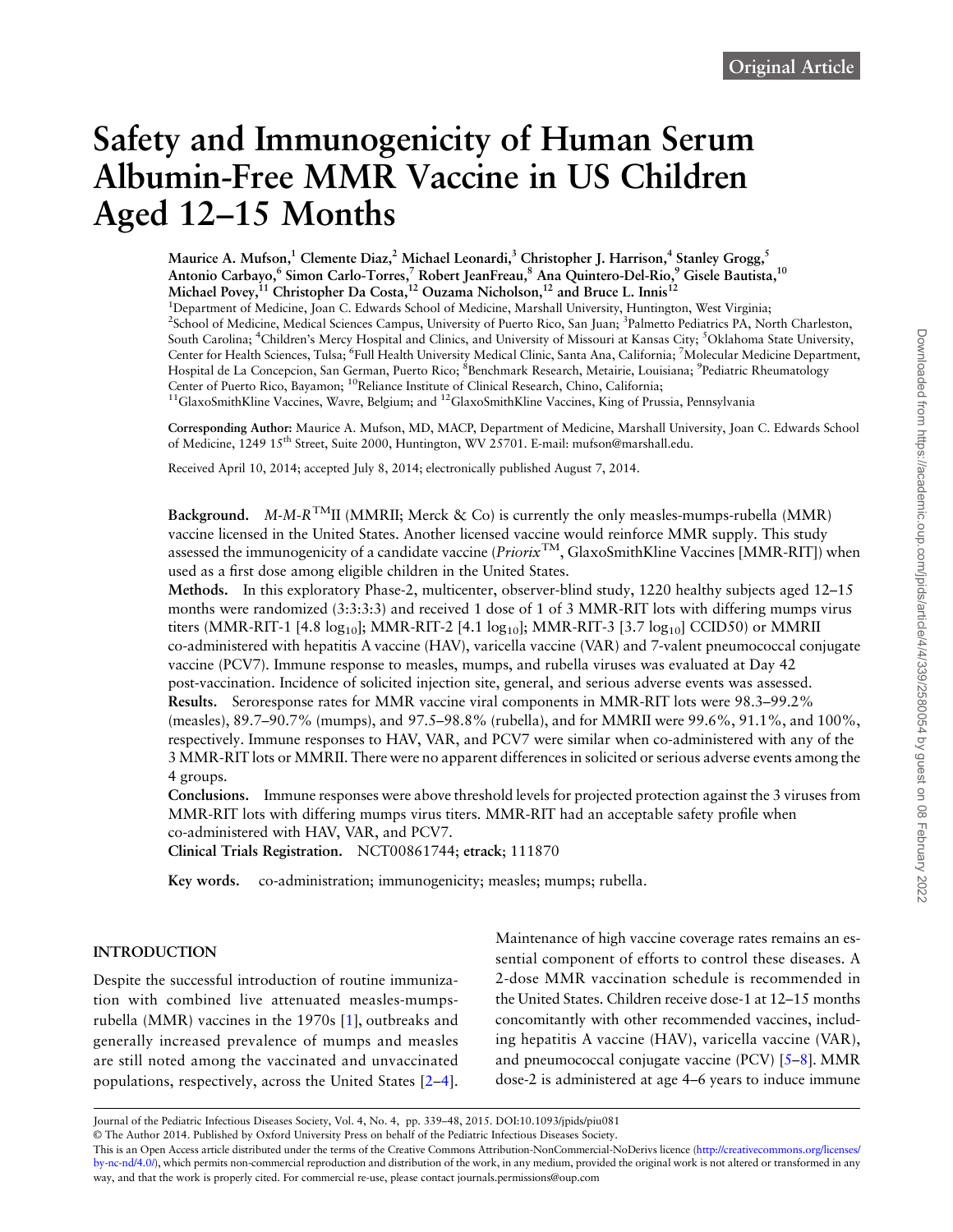# Safety and Immunogenicity of Human Serum Albumin-Free MMR Vaccine in US Children Aged 12–15 Months

Maurice A. Mufson,<sup>1</sup> Clemente Diaz,<sup>2</sup> Michael Leonardi,<sup>3</sup> Christopher J. Harrison,<sup>4</sup> Stanley Grogg,<sup>5</sup> Antonio Carbayo,<sup>6</sup> Simon Carlo-Torres,<sup>7</sup> Robert JeanFreau,<sup>8</sup> Ana Quintero-Del-Rio,<sup>9</sup> Gisele Bautista,<sup>10</sup> Michael Povey,<sup>11</sup> Christopher Da Costa,<sup>12</sup> Ouzama Nicholson,<sup>12</sup> and Bruce L. Innis<sup>12</sup> <sup>1</sup>Department of Medicine, Joan C. Edwards School of Medicine, Marshall University, Huntington, West Virginia; <sup>2</sup>School of Medicine, Medical Sciences Campus, University of Puerto Rico, San Juan; <sup>3</sup>Palmetto Pediatrics PA, North Charleston, South Carolina; <sup>4</sup>Children's Mercy Hospital and Clinics, and University of Missouri at Kansas City; <sup>5</sup>Oklahoma State University, Center for Health Sciences, Tulsa; <sup>6</sup>Full Health University Medical Clinic, Santa Ana, California; <sup>7</sup>Molecular Medicine Department, Hospital de La Concepcion, San German, Puerto Rico; <sup>8</sup>Benchmark Research, Metairie, Louisiana; <sup>9</sup>Pediatric Rheumatology Center of Puerto Rico, Bayamon; <sup>10</sup>Reliance Institute of Clinical Research, Chino, California; <sup>11</sup>GlaxoSmithKline Vaccines, Wavre, Belgium; and <sup>12</sup>GlaxoSmithKline Vaccines, King of Prussia, Pennsylvania

Corresponding Author: Maurice A. Mufson, MD, MACP, Department of Medicine, Marshall University, Joan C. Edwards School of Medicine, 1249 15<sup>th</sup> Street, Suite 2000, Huntington, WV 25701. E-mail: mufson@marshall.edu.

Received April 10, 2014; accepted July 8, 2014; electronically published August 7, 2014.

Background. M-M-R<sup>TM</sup>II (MMRII; Merck & Co) is currently the only measles-mumps-rubella (MMR) vaccine licensed in the United States. Another licensed vaccine would reinforce MMR supply. This study assessed the immunogenicity of a candidate vaccine ( $Priorix^{TM}$ , GlaxoSmithKline Vaccines [MMR-RIT]) when used as a first dose among eligible children in the United States.

Methods. In this exploratory Phase-2, multicenter, observer-blind study, 1220 healthy subjects aged 12–15 months were randomized (3:3:3:3) and received 1 dose of 1 of 3 MMR-RIT lots with differing mumps virus titers (MMR-RIT-1 [4.8  $log_{10}$ ]; MMR-RIT-2 [4.1  $log_{10}$ ]; MMR-RIT-3 [3.7  $log_{10}$ ] CCID50) or MMRII co-administered with hepatitis A vaccine (HAV), varicella vaccine (VAR) and 7-valent pneumococcal conjugate vaccine (PCV7). Immune response to measles, mumps, and rubella viruses was evaluated at Day 42 post-vaccination. Incidence of solicited injection site, general, and serious adverse events was assessed. Results. Seroresponse rates for MMR vaccine viral components in MMR-RIT lots were 98.3–99.2% (measles), 89.7–90.7% (mumps), and 97.5–98.8% (rubella), and for MMRII were 99.6%, 91.1%, and 100%, respectively. Immune responses to HAV, VAR, and PCV7 were similar when co-administered with any of the 3 MMR-RIT lots or MMRII. There were no apparent differences in solicited or serious adverse events among the 4 groups.

Conclusions. Immune responses were above threshold levels for projected protection against the 3 viruses from MMR-RIT lots with differing mumps virus titers. MMR-RIT had an acceptable safety profile when co-administered with HAV, VAR, and PCV7.

Clinical Trials Registration. NCT00861744; etrack; 111870

Key words. co-administration; immunogenicity; measles; mumps; rubella.

#### **INTRODUCTION**

Despite the successful introduction of routine immunization with combined live attenuated measles-mumpsrubella (MMR) vaccines in the 1970s [[1](#page-10-0)], outbreaks and generally increased prevalence of mumps and measles are still noted among the vaccinated and unvaccinated populations, respectively, across the United States [\[2](#page-10-0)–[4\]](#page-10-0). Maintenance of high vaccine coverage rates remains an essential component of efforts to control these diseases. A 2-dose MMR vaccination schedule is recommended in the United States. Children receive dose-1 at 12–15 months concomitantly with other recommended vaccines, including hepatitis A vaccine (HAV), varicella vaccine (VAR), and pneumococcal conjugate vaccine (PCV) [[5](#page-10-0)–[8](#page-10-0)]. MMR dose-2 is administered at age 4–6 years to induce immune

Journal of the Pediatric Infectious Diseases Society, Vol. 4, No. 4, pp. 339–48, 2015. DOI:10.1093/jpids/piu081

© The Author 2014. Published by Oxford University Press on behalf of the Pediatric Infectious Diseases Society.

This is an Open Access article distributed under the terms of the Creative Commons Attribution-NonCommercial-NoDerivs licence ([http://creativecommons.org/licenses/](http://creativecommons.org/licenses/by-nc-nd/4.0/) [by-nc-nd/4.0/](http://creativecommons.org/licenses/by-nc-nd/4.0/)), which permits non-commercial reproduction and distribution of the work, in any medium, provided the original work is not altered or transformed in any way, and that the work is properly cited. For commercial re-use, please contact journals.permissions@oup.com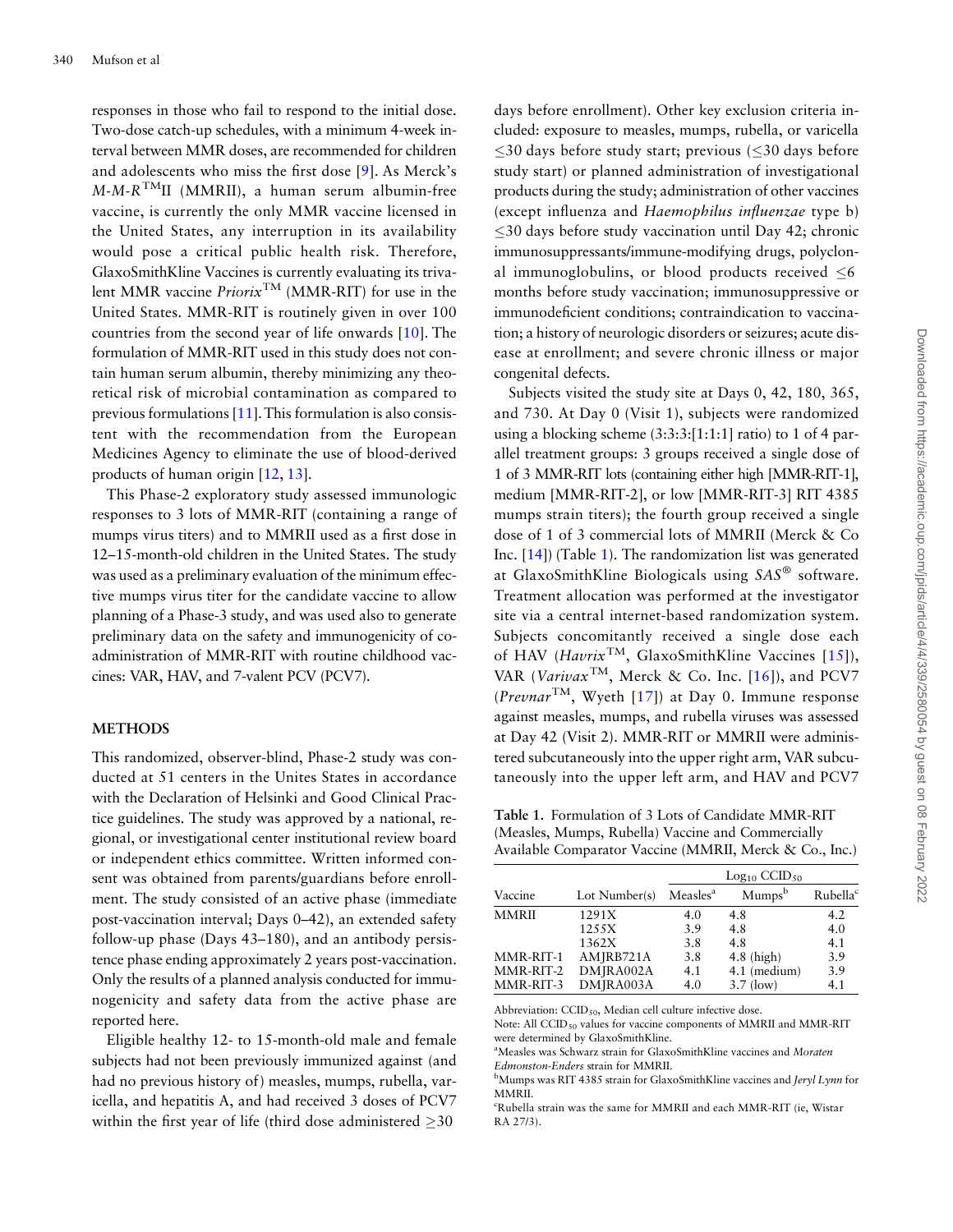responses in those who fail to respond to the initial dose. Two-dose catch-up schedules, with a minimum 4-week interval between MMR doses, are recommended for children and adolescents who miss the first dose [[9](#page-11-0)]. As Merck's  $M-M-R<sup>TM</sup>II$  (MMRII), a human serum albumin-free vaccine, is currently the only MMR vaccine licensed in the United States, any interruption in its availability would pose a critical public health risk. Therefore, GlaxoSmithKline Vaccines is currently evaluating its trivalent MMR vaccine Priorix<sup>TM</sup> (MMR-RIT) for use in the United States. MMR-RIT is routinely given in over 100 countries from the second year of life onwards [[10\]](#page-11-0). The formulation of MMR-RIT used in this study does not contain human serum albumin, thereby minimizing any theoretical risk of microbial contamination as compared to previous formulations [\[11\]](#page-11-0).This formulation is also consistent with the recommendation from the European Medicines Agency to eliminate the use of blood-derived products of human origin [\[12,](#page-11-0) [13\]](#page-11-0).

This Phase-2 exploratory study assessed immunologic responses to 3 lots of MMR-RIT (containing a range of mumps virus titers) and to MMRII used as a first dose in 12–15-month-old children in the United States. The study was used as a preliminary evaluation of the minimum effective mumps virus titer for the candidate vaccine to allow planning of a Phase-3 study, and was used also to generate preliminary data on the safety and immunogenicity of coadministration of MMR-RIT with routine childhood vaccines: VAR, HAV, and 7-valent PCV (PCV7).

#### **METHODS**

This randomized, observer-blind, Phase-2 study was conducted at 51 centers in the Unites States in accordance with the Declaration of Helsinki and Good Clinical Practice guidelines. The study was approved by a national, regional, or investigational center institutional review board or independent ethics committee. Written informed consent was obtained from parents/guardians before enrollment. The study consisted of an active phase (immediate post-vaccination interval; Days 0–42), an extended safety follow-up phase (Days 43–180), and an antibody persistence phase ending approximately 2 years post-vaccination. Only the results of a planned analysis conducted for immunogenicity and safety data from the active phase are reported here.

Eligible healthy 12- to 15-month-old male and female subjects had not been previously immunized against (and had no previous history of) measles, mumps, rubella, varicella, and hepatitis A, and had received 3 doses of PCV7 within the first year of life (third dose administered  $\geq 30$ 

days before enrollment). Other key exclusion criteria included: exposure to measles, mumps, rubella, or varicella  $\leq$ 30 days before study start; previous ( $\leq$ 30 days before study start) or planned administration of investigational products during the study; administration of other vaccines (except influenza and Haemophilus influenzae type b)  $\leq$ 30 days before study vaccination until Day 42; chronic immunosuppressants/immune-modifying drugs, polyclonal immunoglobulins, or blood products received  $\leq 6$ months before study vaccination; immunosuppressive or immunodeficient conditions; contraindication to vaccination; a history of neurologic disorders or seizures; acute disease at enrollment; and severe chronic illness or major congenital defects.

Subjects visited the study site at Days 0, 42, 180, 365, and 730. At Day 0 (Visit 1), subjects were randomized using a blocking scheme (3:3:3:[1:1:1] ratio) to 1 of 4 parallel treatment groups: 3 groups received a single dose of 1 of 3 MMR-RIT lots (containing either high [MMR-RIT-1], medium [MMR-RIT-2], or low [MMR-RIT-3] RIT 4385 mumps strain titers); the fourth group received a single dose of 1 of 3 commercial lots of MMRII (Merck & Co Inc. [\[14\]](#page-11-0)) (Table 1). The randomization list was generated at GlaxoSmithKline Biologicals using SAS® software. Treatment allocation was performed at the investigator site via a central internet-based randomization system. Subjects concomitantly received a single dose each of HAV ( $Havrix^{TM}$ , GlaxoSmithKline Vaccines [[15\]](#page-11-0)), VAR (Varivax<sup>TM</sup>, Merck & Co. Inc. [[16](#page-11-0)]), and PCV7 (Prevnar<sup>TM</sup>, Wyeth [[17\]](#page-11-0)) at Day 0. Immune response against measles, mumps, and rubella viruses was assessed at Day 42 (Visit 2). MMR-RIT or MMRII were administered subcutaneously into the upper right arm, VAR subcutaneously into the upper left arm, and HAV and PCV7

Table 1. Formulation of 3 Lots of Candidate MMR-RIT (Measles, Mumps, Rubella) Vaccine and Commercially Available Comparator Vaccine (MMRII, Merck & Co., Inc.)

|              |               |                      | $Log_{10}$ CCID <sub>50</sub> |                      |
|--------------|---------------|----------------------|-------------------------------|----------------------|
| Vaccine      | Lot Number(s) | Measles <sup>a</sup> | Mumps <sup>b</sup>            | Rubella <sup>c</sup> |
| <b>MMRII</b> | 1291X         | 4.0                  | 4.8                           | 4.2                  |
|              | 1255X         | 3.9                  | 4.8                           | 4.0                  |
|              | 1362X         | 3.8                  | 4.8                           | 4.1                  |
| MMR-RIT-1    | AMJRB721A     | 3.8                  | $4.8$ (high)                  | 3.9                  |
| MMR-RIT-2    | DMJRA002A     | 4.1                  | 4.1 (medium)                  | 3.9                  |
| MMR-RIT-3    | DMJRA003A     | 4.0                  | $3.7$ (low)                   | 4.1                  |

Abbreviation:  $CCID_{50}$ , Median cell culture infective dose.

Note: All CCID<sub>50</sub> values for vaccine components of MMRII and MMR-RIT were determined by GlaxoSmithKline.

<sup>a</sup>Measles was Schwarz strain for GlaxoSmithKline vaccines and Moraten Edmonston-Enders strain for MMRII.

<sup>b</sup>Mumps was RIT 4385 strain for GlaxoSmithKline vaccines and Jeryl Lynn for MMRII.

c Rubella strain was the same for MMRII and each MMR-RIT (ie, Wistar RA 27/3).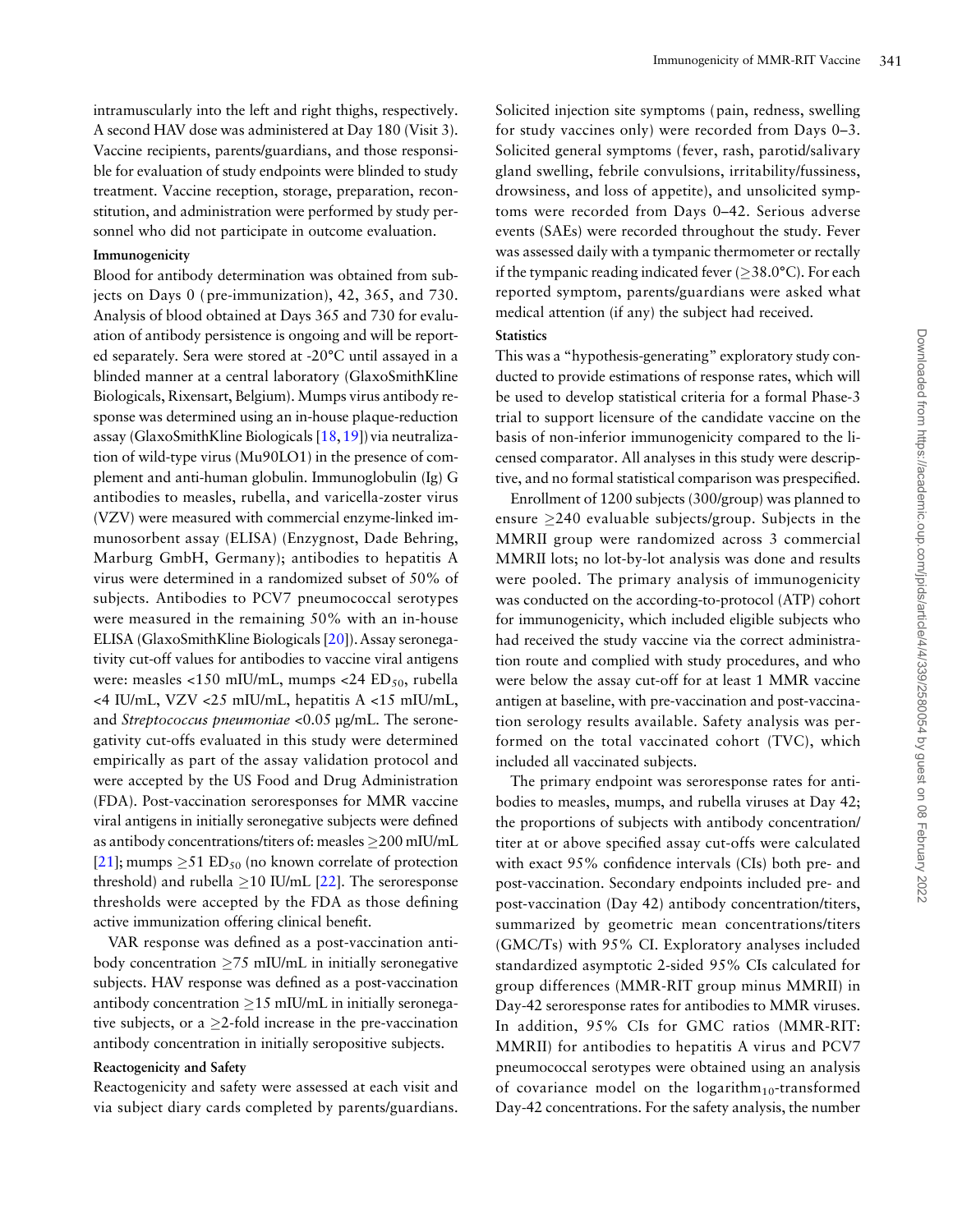Vaccine recipients, parents/guardians, and those responsible for evaluation of study endpoints were blinded to study treatment. Vaccine reception, storage, preparation, reconstitution, and administration were performed by study personnel who did not participate in outcome evaluation.

#### Immunogenicity

Blood for antibody determination was obtained from subjects on Days 0 ( pre-immunization), 42, 365, and 730. Analysis of blood obtained at Days 365 and 730 for evaluation of antibody persistence is ongoing and will be reported separately. Sera were stored at -20°C until assayed in a blinded manner at a central laboratory (GlaxoSmithKline Biologicals, Rixensart, Belgium). Mumps virus antibody response was determined using an in-house plaque-reduction assay (GlaxoSmithKline Biologicals [\[18](#page-11-0),[19\]](#page-11-0)) via neutralization of wild-type virus (Mu90LO1) in the presence of complement and anti-human globulin. Immunoglobulin (Ig) G antibodies to measles, rubella, and varicella-zoster virus (VZV) were measured with commercial enzyme-linked immunosorbent assay (ELISA) (Enzygnost, Dade Behring, Marburg GmbH, Germany); antibodies to hepatitis A virus were determined in a randomized subset of 50% of subjects. Antibodies to PCV7 pneumococcal serotypes were measured in the remaining 50% with an in-house ELISA (GlaxoSmithKline Biologicals [[20](#page-11-0)]). Assay seronegativity cut-off values for antibodies to vaccine viral antigens were: measles <150 mIU/mL, mumps <24  $ED<sub>50</sub>$ , rubella <4 IU/mL, VZV <25 mIU/mL, hepatitis A <15 mIU/mL, and Streptococcus pneumoniae <0.05 µg/mL. The seronegativity cut-offs evaluated in this study were determined empirically as part of the assay validation protocol and were accepted by the US Food and Drug Administration (FDA). Post-vaccination seroresponses for MMR vaccine viral antigens in initially seronegative subjects were defined as antibody concentrations/titers of: measles 200 mIU/mL [\[21](#page-11-0)]; mumps  $\geq$ 51 ED<sub>50</sub> (no known correlate of protection threshold) and rubella  $\geq$ 10 IU/mL [[22](#page-11-0)]. The seroresponse thresholds were accepted by the FDA as those defining active immunization offering clinical benefit.

VAR response was defined as a post-vaccination antibody concentration  $\geq$ 75 mIU/mL in initially seronegative subjects. HAV response was defined as a post-vaccination antibody concentration  $\geq$ 15 mIU/mL in initially seronegative subjects, or a  $\geq$ 2-fold increase in the pre-vaccination antibody concentration in initially seropositive subjects.

#### Reactogenicity and Safety

Reactogenicity and safety were assessed at each visit and via subject diary cards completed by parents/guardians.

Solicited injection site symptoms ( pain, redness, swelling for study vaccines only) were recorded from Days 0–3. Solicited general symptoms ( fever, rash, parotid/salivary gland swelling, febrile convulsions, irritability/fussiness, drowsiness, and loss of appetite), and unsolicited symptoms were recorded from Days 0–42. Serious adverse events (SAEs) were recorded throughout the study. Fever was assessed daily with a tympanic thermometer or rectally if the tympanic reading indicated fever ( $\geq$ 38.0°C). For each reported symptom, parents/guardians were asked what medical attention (if any) the subject had received.

#### **Statistics**

This was a "hypothesis-generating" exploratory study conducted to provide estimations of response rates, which will be used to develop statistical criteria for a formal Phase-3 trial to support licensure of the candidate vaccine on the basis of non-inferior immunogenicity compared to the licensed comparator. All analyses in this study were descriptive, and no formal statistical comparison was prespecified.

Enrollment of 1200 subjects (300/group) was planned to ensure  $\geq$ 240 evaluable subjects/group. Subjects in the MMRII group were randomized across 3 commercial MMRII lots; no lot-by-lot analysis was done and results were pooled. The primary analysis of immunogenicity was conducted on the according-to-protocol (ATP) cohort for immunogenicity, which included eligible subjects who had received the study vaccine via the correct administration route and complied with study procedures, and who were below the assay cut-off for at least 1 MMR vaccine antigen at baseline, with pre-vaccination and post-vaccination serology results available. Safety analysis was performed on the total vaccinated cohort (TVC), which included all vaccinated subjects.

The primary endpoint was seroresponse rates for antibodies to measles, mumps, and rubella viruses at Day 42; the proportions of subjects with antibody concentration/ titer at or above specified assay cut-offs were calculated with exact 95% confidence intervals (CIs) both pre- and post-vaccination. Secondary endpoints included pre- and post-vaccination (Day 42) antibody concentration/titers, summarized by geometric mean concentrations/titers (GMC/Ts) with 95% CI. Exploratory analyses included standardized asymptotic 2-sided 95% CIs calculated for group differences (MMR-RIT group minus MMRII) in Day-42 seroresponse rates for antibodies to MMR viruses. In addition, 95% CIs for GMC ratios (MMR-RIT: MMRII) for antibodies to hepatitis A virus and PCV7 pneumococcal serotypes were obtained using an analysis of covariance model on the logarithm<sub>10</sub>-transformed Day-42 concentrations. For the safety analysis, the number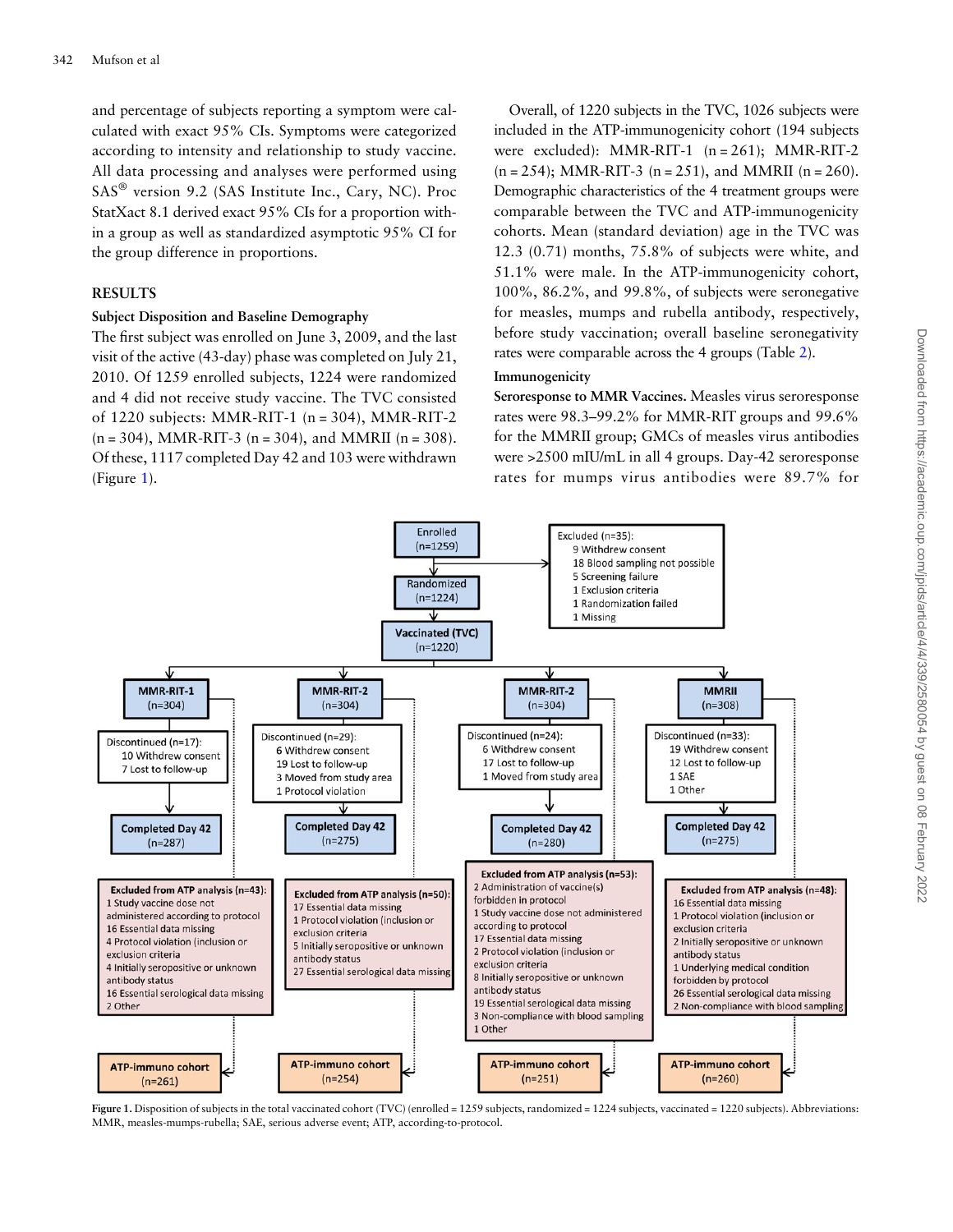and percentage of subjects reporting a symptom were calculated with exact 95% CIs. Symptoms were categorized according to intensity and relationship to study vaccine. All data processing and analyses were performed using SAS® version 9.2 (SAS Institute Inc., Cary, NC). Proc StatXact 8.1 derived exact 95% CIs for a proportion within a group as well as standardized asymptotic 95% CI for the group difference in proportions.

#### RESULTS

#### Subject Disposition and Baseline Demography

The first subject was enrolled on June 3, 2009, and the last visit of the active (43-day) phase was completed on July 21, 2010. Of 1259 enrolled subjects, 1224 were randomized and 4 did not receive study vaccine. The TVC consisted of 1220 subjects: MMR-RIT-1 (n = 304), MMR-RIT-2  $(n = 304)$ , MMR-RIT-3  $(n = 304)$ , and MMRII  $(n = 308)$ . Of these, 1117 completed Day 42 and 103 were withdrawn (Figure 1).

Overall, of 1220 subjects in the TVC, 1026 subjects were included in the ATP-immunogenicity cohort (194 subjects were excluded): MMR-RIT-1  $(n = 261)$ ; MMR-RIT-2  $(n = 254)$ ; MMR-RIT-3  $(n = 251)$ , and MMRII  $(n = 260)$ . Demographic characteristics of the 4 treatment groups were comparable between the TVC and ATP-immunogenicity cohorts. Mean (standard deviation) age in the TVC was 12.3 (0.71) months, 75.8% of subjects were white, and 51.1% were male. In the ATP-immunogenicity cohort, 100%, 86.2%, and 99.8%, of subjects were seronegative for measles, mumps and rubella antibody, respectively, before study vaccination; overall baseline seronegativity rates were comparable across the 4 groups (Table [2\)](#page-6-0).

#### Immunogenicity

Seroresponse to MMR Vaccines. Measles virus seroresponse rates were 98.3–99.2% for MMR-RIT groups and 99.6% for the MMRII group; GMCs of measles virus antibodies were >2500 mIU/mL in all 4 groups. Day-42 seroresponse rates for mumps virus antibodies were 89.7% for



Figure 1. Disposition of subjects in the total vaccinated cohort (TVC) (enrolled = 1259 subjects, randomized = 1224 subjects, vaccinated = 1220 subjects). Abbreviations: MMR, measles-mumps-rubella; SAE, serious adverse event; ATP, according-to-protocol.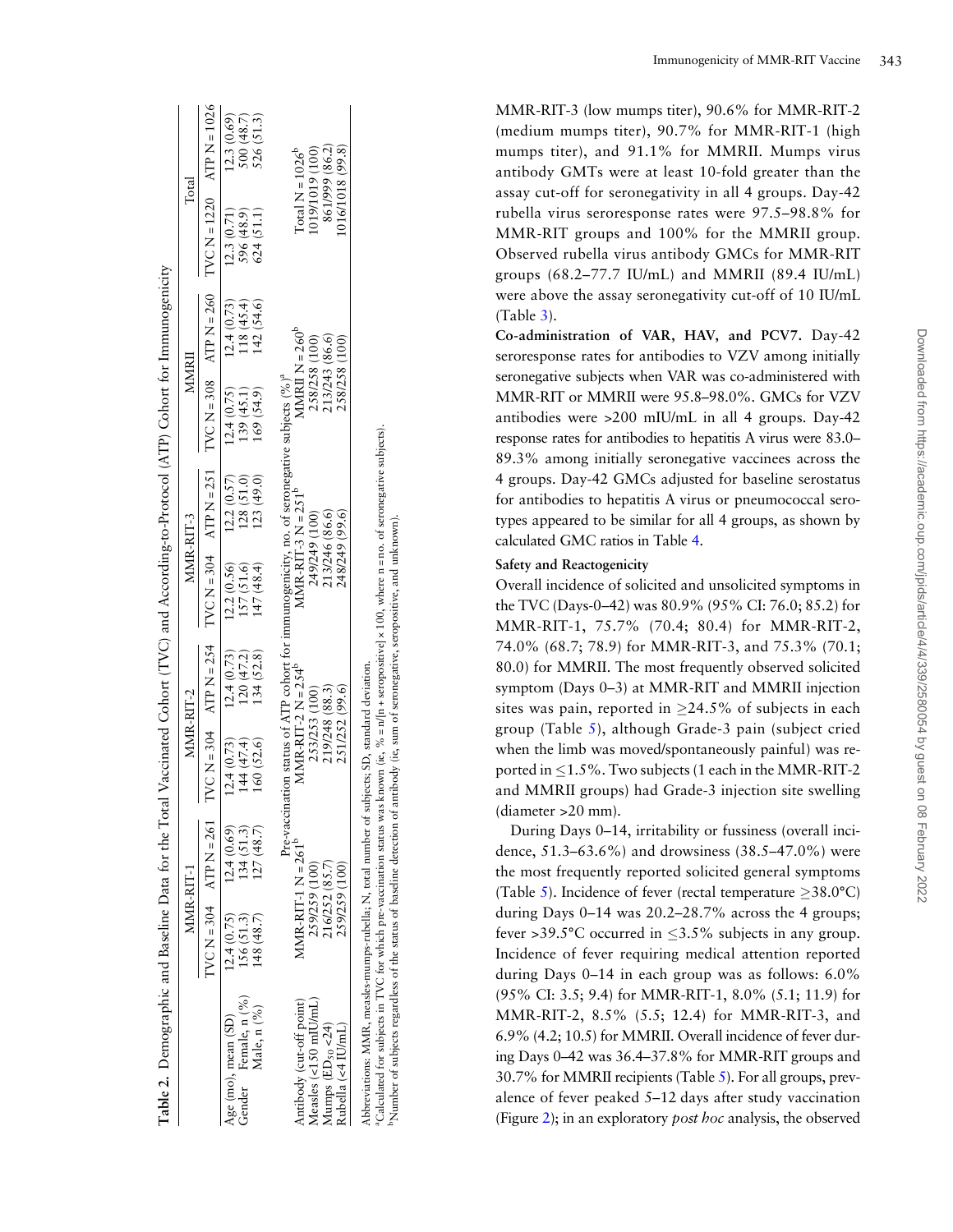<span id="page-6-0"></span>

| Table 2. Demographic and Baseline Data for the Total Vaccinated Cohort (TVC) and According-to-Protocol (ATP) Cohort for Immunogenicity |            |                        |                                                                                                 |                             |                      |                |                   |            |                  |                            |
|----------------------------------------------------------------------------------------------------------------------------------------|------------|------------------------|-------------------------------------------------------------------------------------------------|-----------------------------|----------------------|----------------|-------------------|------------|------------------|----------------------------|
|                                                                                                                                        |            | MMR-RIT-1              | MMR-RIT-2                                                                                       |                             | MMR-RIT-3            |                | MMRI              |            | $\Gamma$ otal    |                            |
|                                                                                                                                        |            | $IVCH = 304$ $X = 261$ |                                                                                                 | $IVC N = 304$ ATP $N = 254$ |                      |                |                   |            |                  |                            |
| Age (mo), mean (SD)                                                                                                                    | 12.4(0.75) | 12.4(0.69)             | 12.4(0.73)                                                                                      | 12.4(0.73)                  | (2.2(0.56))          | 12.2(0.57)     | 12.4(0.75)        | 12.4(0.73) | 12.3(0.71)       | 12.3(0.69)                 |
| Gender Female, n (%)                                                                                                                   | 156 (51.3) | 134(51.3)              | 144(47.4)                                                                                       | 120(47.2)                   | 157 (51.6)           | 128 (51.0)     | 139 (45.1)        | 118(45.4)  | 596 (48.9)       |                            |
| Male, n (%)                                                                                                                            | 148(48.7)  | 127(48.7)              | 160 (52.6)                                                                                      | 134 (52.8)                  | 147(48.4)            | 123(49.0)      | 169(54.9)         | 142 (54.6) | 624(51.1)        | $500(48.7)$<br>$526(51.3)$ |
|                                                                                                                                        |            |                        | Pre-vaccination status of ATP cohort for immunogenicity, no. of seronegative subjects $(%)^{a}$ |                             |                      |                |                   |            |                  |                            |
| Antibody (cut-off point)                                                                                                               |            | $MMR-RIT-1 N = 261b$   | $MMR-RIT-2 N = 254b$                                                                            |                             | $MMR-RIT-3 N = 251b$ |                | MMRII $N = 260^b$ |            |                  | Total $N = 1026^b$         |
| $Measles$ (<150 mIU/mL)                                                                                                                |            | 259/259 (100)          | 253/253 (100)                                                                                   |                             | 249/249 (100)        |                | 258/258 (100)     |            | (019/1019 (100)  |                            |
| Mumps $(ED_{50}$ <24)                                                                                                                  |            | 216/252 (85.7)         | 219/248 (88.3)                                                                                  |                             | 213/246 (86.6)       |                | 213/243 (86.6)    |            |                  | 861/999 (86.2)             |
| Rubella (<4 IU/mL)                                                                                                                     |            | 259/259 (100)          | 251/252 (99.6)                                                                                  |                             |                      | 248/249 (99.6) | 258/258 (100)     |            | 1016/1018 (99.8) |                            |
| Abbreviations: MMR, measles-mumps-rubella; N, total number of subjects; SD, standard deviation.                                        |            |                        |                                                                                                 |                             |                      |                |                   |            |                  |                            |

aCalculated for subjects in TVC for which pre-vaccination status was known (ie, % = n/[n + seropositive] × 100, where n = no. of seronegative subjects). Calculated for subjects in TVC for which pre-vaccination status was known (ie, % = n/|n + seropositive] × 100, where n = no. of seronegative subjects) Number of subjects regardless of the status of baseline detection of antibody (ie, sum of seronegative, seropositive, and unknown). bNumber of subjects regardless of the status of baseline detection of antibody (ie, sum of seronegative, seropositive, and unknown).

MMR-RIT-3 (low mumps titer), 90.6% for MMR-RIT-2 (medium mumps titer), 90.7% for MMR-RIT-1 (high mumps titer), and 91.1% for MMRII. Mumps virus antibody GMTs were at least 10-fold greater than the assay cut-off for seronegativity in all 4 groups. Day-42 rubella virus seroresponse rates were 97.5 –98.8% for MMR-RIT groups and 100% for the MMRII group. Observed rubella virus antibody GMCs for MMR-RIT groups (68.2 –77.7 IU/mL) and MMRII (89.4 IU/mL) were above the assay seronegativity cut-off of 10 IU/mL (Table [3](#page-7-0)). Co-administration of VAR, HAV, and PCV7. Day-42

seroresponse rates for antibodies to VZV among initially seronegative subjects when VAR was co-administered with MMR-RIT or MMRII were 95.8 –98.0%. GMCs for VZV antibodies were >200 mIU/mL in all 4 groups. Day-42 response rates for antibodies to hepatitis A virus were 83.0 – 89.3% among initially seronegative vaccinees across the 4 groups. Day-42 GMCs adjusted for baseline serostatus for antibodies to hepatitis A virus or pneumococcal serotypes appeared to be similar for all 4 groups, as shown by calculated GMC ratios in Table [4](#page-7-0) .

#### Safety and Reactogenicity

Overall incidence of solicited and unsolicited symptoms in the TVC (Days-0 –42) was 80.9% (95% CI: 76.0; 85.2) for MMR-RIT-1, 75.7% (70.4; 80.4) for MMR-RIT-2, 74.0% (68.7; 78.9) for MMR-RIT-3, and 75.3% (70.1; 80.0) for MMRII. The most frequently observed solicited symptom (Days 0 –3) at MMR-RIT and MMRII injection sites was pain, reported in  $\geq$ 24.5% of subjects in each group (Table [5\)](#page-8-0), although Grade-3 pain (subject cried when the limb was moved/spontaneously painful) was reported in  $\leq 1.5$ %. Two subjects (1 each in the MMR-RIT-2 and MMRII groups) had Grade-3 injection site swelling (diameter >20 mm).

During Days 0 –14, irritability or fussiness (overall incidence, 51.3–63.6%) and drowsiness (38.5–47.0%) were the most frequently reported solicited general symptoms (Table [5](#page-8-0)). Incidence of fever (rectal temperature  $\geq$ 38.0°C) during Days 0 –14 was 20.2 –28.7% across the 4 groups; fever >39.5°C occurred in  $\leq$ 3.5% subjects in any group. Incidence of fever requiring medical attention reported during Days 0 –14 in each group was as follows: 6.0% (95% CI: 3.5; 9.4) for MMR-RIT-1, 8.0% (5.1; 11.9) for MMR-RIT-2, 8.5% (5.5; 12.4) for MMR-RIT-3, and 6.9% (4.2; 10.5) for MMRII. Overall incidence of fever during Days 0–42 was 36.4–37.8% for MMR-RIT groups and 30.7% for MMRII recipients (Table [5\)](#page-8-0). For all groups, prevalence of fever peaked 5–12 days after study vaccination (Figure [2\)](#page-8-0); in an exploratory post hoc analysis, the observed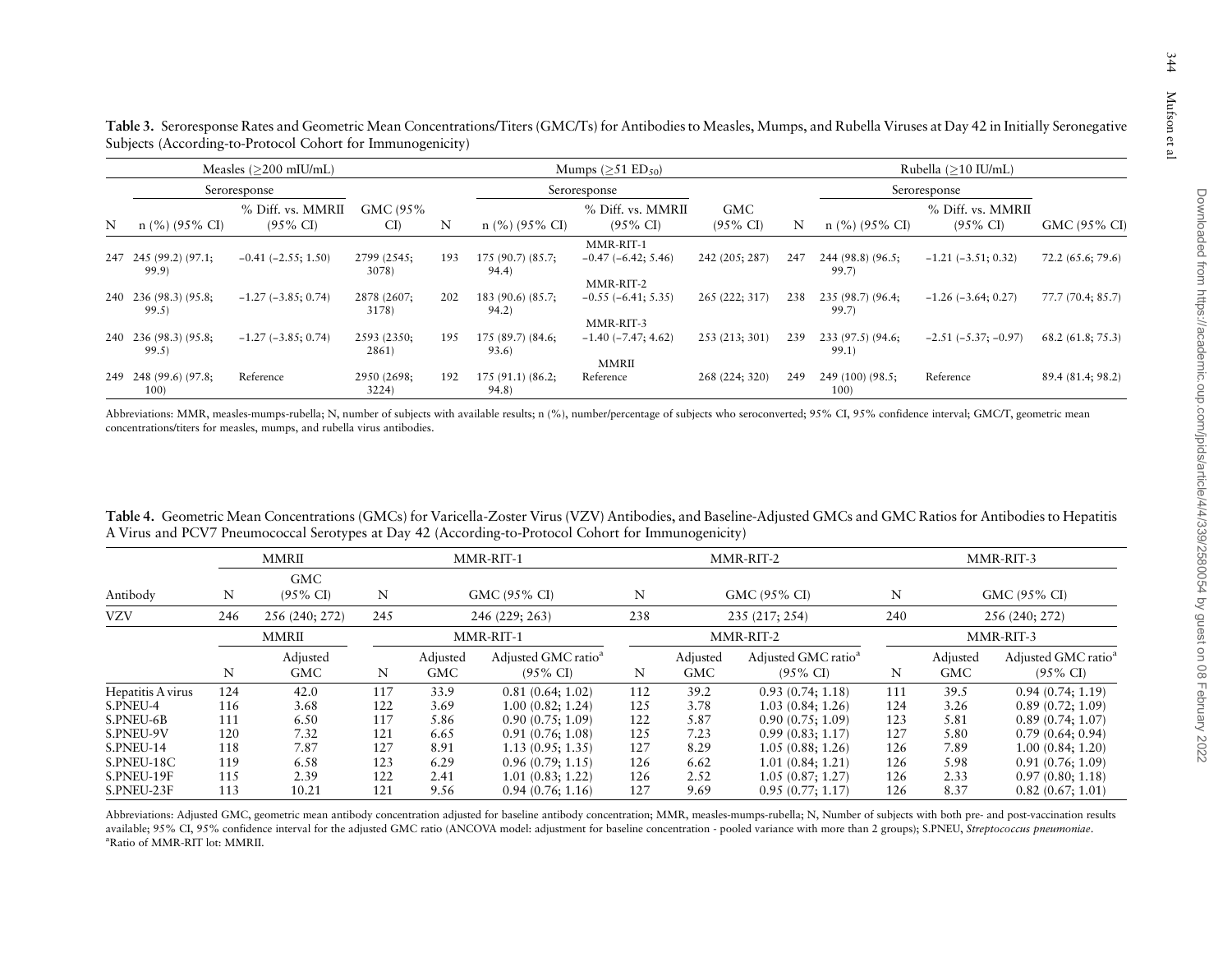|  |  | 344          |
|--|--|--------------|
|  |  | Mutson et al |
|  |  |              |

 $344$ 

<span id="page-7-0"></span>

|   | Measles $(>200$ mIU/mL)        |                                          |                      |     | Mumps $(>51$ ED <sub>50</sub> ) |                                                |                                   |              | Rubella (>10 IU/mL)        |                                          |                   |  |
|---|--------------------------------|------------------------------------------|----------------------|-----|---------------------------------|------------------------------------------------|-----------------------------------|--------------|----------------------------|------------------------------------------|-------------------|--|
|   | Seroresponse                   |                                          |                      |     | Seroresponse                    |                                                |                                   | Seroresponse |                            |                                          |                   |  |
| N | $n$ (%) (95% CI)               | % Diff. vs. MMRII<br>$(95\% \text{ CI})$ | GMC (95%)<br>CI)     | N   | $n$ (%) (95% CI)                | % Diff. vs. MMRII<br>$(95\% \text{ CI})$       | <b>GMC</b><br>$(95\% \text{ CI})$ | N            | $n$ (%) (95% CI)           | % Diff. vs. MMRII<br>$(95\% \text{ CI})$ | GMC (95% CI)      |  |
|   | 247 245 (99.2) (97.1;<br>99.9) | $-0.41$ $(-2.55; 1.50)$                  | 2799 (2545;<br>3078) | 193 | 175(90.7)(85.7)<br>94.4)        | MMR-RIT-1<br>$-0.47(-6.42; 5.46)$<br>MMR-RIT-2 | 242 (205; 287)                    | 247          | 244 (98.8) (96.5;<br>99.7) | $-1.21$ $(-3.51; 0.32)$                  | 72.2 (65.6; 79.6) |  |
|   | 240 236 (98.3) (95.8;<br>99.5) | $-1.27$ ( $-3.85$ ; 0.74)                | 2878 (2607;<br>3178) | 202 | $183(90.6)(85.7)$ ;<br>94.2)    | $-0.55(-6.41; 5.35)$<br>MMR-RIT-3              | 265 (222; 317)                    | 238          | 235 (98.7) (96.4;<br>99.7  | $-1.26$ ( $-3.64$ ; 0.27)                | 77.7 (70.4: 85.7) |  |
|   | 240 236 (98.3) (95.8;<br>99.5) | $-1.27$ ( $-3.85$ ; 0.74)                | 2593 (2350;<br>2861) | 195 | 175(89.7)(84.6)<br>93.6)        | $-1.40$ ( $-7.47$ ; 4.62)                      | 253 (213; 301)                    | 239          | 233 (97.5) (94.6;<br>99.1) | $-2.51(-5.37; -0.97)$                    | 68.2(61.8; 75.3)  |  |
|   | 249 248 (99.6) (97.8;<br>100)  | Reference                                | 2950 (2698;<br>3224) | 192 | $175(91.1)(86.2)$ ;<br>94.8)    | <b>MMRII</b><br>Reference                      | 268 (224; 320)                    | 249          | 249 (100) (98.5;<br>100    | Reference                                | 89.4 (81.4; 98.2) |  |

Abbreviations: MMR, measles-mumps-rubella; N, number of subjects with available results; n (%), number/percentage of subjects who seroconverted; 95% CI, 95% confidence interval; GMC/T, geometric mean concentrations/titers for measles, mumps, and rubella virus antibodies.

| Table 4. Geometric Mean Concentrations (GMCs) for Varicella-Zoster Virus (VZV) Antibodies, and Baseline-Adjusted GMCs and GMC Ratios for Antibodies to Hepatitis |  |
|------------------------------------------------------------------------------------------------------------------------------------------------------------------|--|
| A Virus and PCV7 Pneumococcal Serotypes at Day 42 (According-to-Protocol Cohort for Immunogenicity)                                                              |  |

|                               |            | <b>MMRII</b>                      |            | MMR-RIT-1       |                                                        |            |                        | MMR-RIT-2                                              |            | MMR-RIT-3              |                                                        |
|-------------------------------|------------|-----------------------------------|------------|-----------------|--------------------------------------------------------|------------|------------------------|--------------------------------------------------------|------------|------------------------|--------------------------------------------------------|
| Antibody                      | N          | <b>GMC</b><br>$(95\% \text{ CI})$ | N          |                 | GMC (95% CI)                                           | N          |                        | GMC (95% CI)                                           | N          |                        | GMC (95% CI)                                           |
| <b>VZV</b>                    | 246        | 256 (240; 272)                    | 245        | 246 (229; 263)  |                                                        | 238        |                        | 235 (217; 254)                                         | 240        | 256 (240; 272)         |                                                        |
|                               |            | MMRII                             |            |                 | MMR-RIT-1                                              | MMR-RIT-2  |                        |                                                        | MMR-RIT-3  |                        |                                                        |
|                               | N          | Adjusted<br><b>GMC</b>            | N          | Adjusted<br>GMC | Adjusted GMC ratio <sup>a</sup><br>$(95\% \text{ CI})$ | N          | Adjusted<br><b>GMC</b> | Adjusted GMC ratio <sup>a</sup><br>$(95\% \text{ CI})$ | N          | Adjusted<br><b>GMC</b> | Adjusted GMC ratio <sup>a</sup><br>$(95\% \text{ CI})$ |
| Hepatitis A virus<br>S.PNEU-4 | 124<br>116 | 42.0<br>3.68                      | 117<br>122 | 33.9<br>3.69    | 0.81(0.64; 1.02)<br>1.00(0.82; 1.24)                   | 112<br>125 | 39.2<br>3.78           | 0.93(0.74; 1.18)<br>1.03(0.84; 1.26)                   | 111<br>124 | 39.5<br>3.26           | 0.94(0.74; 1.19)<br>0.89(0.72; 1.09)                   |
| S.PNEU-6B<br>S.PNEU-9V        | 111<br>120 | 6.50<br>7.32                      | 117<br>121 | 5.86<br>6.65    | 0.90(0.75; 1.09)<br>0.91(0.76; 1.08)                   | 122<br>125 | 5.87<br>7.23           | 0.90(0.75; 1.09)<br>0.99(0.83; 1.17)                   | 123<br>127 | 5.81<br>5.80           | 0.89(0.74; 1.07)<br>0.79(0.64; 0.94)                   |
| S.PNEU-14<br>S.PNEU-18C       | 118<br>119 | 7.87<br>6.58                      | 127<br>123 | 8.91<br>6.29    | 1.13(0.95; 1.35)<br>0.96(0.79:1.15)                    | 127<br>126 | 8.29<br>6.62           | 1.05(0.88; 1.26)<br>1.01(0.84; 1.21)                   | 126<br>126 | 7.89<br>5.98           | 1.00(0.84; 1.20)<br>0.91(0.76; 1.09)                   |
| S.PNEU-19F<br>S.PNEU-23F      | 115<br>113 | 2.39<br>10.21                     | 122<br>121 | 2.41<br>9.56    | 1.01(0.83; 1.22)<br>0.94(0.76; 1.16)                   | 126<br>127 | 2.52<br>9.69           | 1.05(0.87; 1.27)<br>0.95(0.77; 1.17)                   | 126<br>126 | 2.33<br>8.37           | 0.97(0.80; 1.18)<br>0.82(0.67; 1.01)                   |

Abbreviations: Adjusted GMC, geometric mean antibody concentration adjusted for baseline antibody concentration; MMR, measles-mumps-rubella; N, Number of subjects with both pre- and post-vaccination results available; 95% CI, 95% confidence interval for the adjusted GMC ratio (ANCOVA model: adjustment for baseline concentration - pooled variance with more than 2 groups); S.PNEU, Streptococcus pneumoniae. aRatio of MMR-RIT lot: MMRII.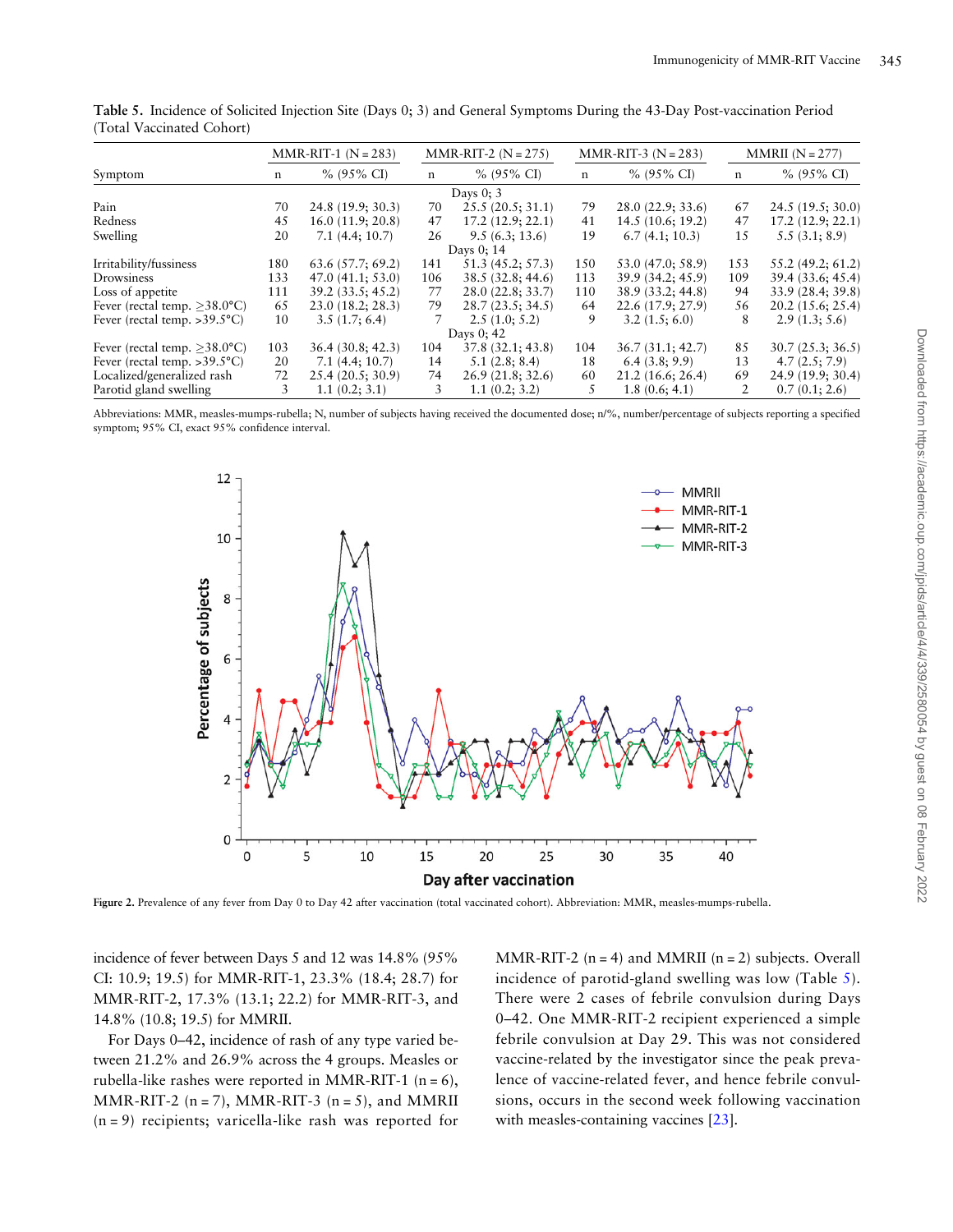|                                        | $MMR-RT-1 (N = 283)$ |                   |             | $MMR-RIT-2 (N = 275)$ |     | $MMR-RT-3 (N = 283)$ | $MMRII (N = 277)$ |                   |  |
|----------------------------------------|----------------------|-------------------|-------------|-----------------------|-----|----------------------|-------------------|-------------------|--|
| Symptom                                | n                    | $% (95\% CI)$     | $\mathbf n$ | $% (95\% CI)$         | n   | $% (95\% CI)$        | n                 | $% (95\% CI)$     |  |
|                                        |                      |                   |             | Days $0:3$            |     |                      |                   |                   |  |
| Pain                                   | 70                   | 24.8 (19.9; 30.3) | 70          | 25.5(20.5; 31.1)      | 79  | 28.0(22.9; 33.6)     | 67                | 24.5 (19.5; 30.0) |  |
| Redness                                | 45                   | 16.0(11.9; 20.8)  | 47          | 17.2(12.9; 22.1)      | 41  | 14.5(10.6; 19.2)     | 47                | 17.2(12.9; 22.1)  |  |
| Swelling                               | 20                   | 7.1(4.4; 10.7)    | 26          | 9.5(6.3; 13.6)        | 19  | 6.7(4.1; 10.3)       | 15                | 5.5(3.1; 8.9)     |  |
|                                        |                      | Days 0; 14        |             |                       |     |                      |                   |                   |  |
| Irritability/fussiness                 | 180                  | 63.6(57.7; 69.2)  | 141         | 51.3 (45.2; 57.3)     | 150 | 53.0 (47.0; 58.9)    | 153               | 55.2 (49.2; 61.2) |  |
| Drowsiness                             | 133                  | 47.0(41.1; 53.0)  | 106         | 38.5 (32.8; 44.6)     | 113 | 39.9 (34.2; 45.9)    | 109               | 39.4 (33.6; 45.4) |  |
| Loss of appetite                       | 111                  | 39.2(33.5; 45.2)  | 77          | 28.0 (22.8; 33.7)     | 110 | 38.9 (33.2; 44.8)    | 94                | 33.9 (28.4; 39.8) |  |
| Fever (rectal temp. $>38.0^{\circ}$ C) | 65                   | 23.0(18.2; 28.3)  | 79          | 28.7(23.5; 34.5)      | 64  | 22.6(17.9; 27.9)     | 56                | 20.2(15.6; 25.4)  |  |
| Fever (rectal temp. $>39.5^{\circ}C$ ) | 10                   | 3.5(1.7; 6.4)     | 7           | 2.5(1.0; 5.2)         | 9   | 3.2(1.5; 6.0)        | 8                 | 2.9(1.3; 5.6)     |  |
|                                        |                      |                   |             | Days $0:42$           |     |                      |                   |                   |  |
| Fever (rectal temp. $>38.0^{\circ}$ C) | 103                  | 36.4(30.8; 42.3)  | 104         | 37.8(32.1; 43.8)      | 104 | 36.7(31.1; 42.7)     | 85                | 30.7(25.3; 36.5)  |  |
| Fever (rectal temp. $>39.5^{\circ}C$ ) | 20                   | 7.1(4.4; 10.7)    | 14          | 5.1(2.8; 8.4)         | 18  | 6.4(3.8; 9.9)        | 13                | 4.7(2.5; 7.9)     |  |
| Localized/generalized rash             | 72                   | 25.4(20.5; 30.9)  | 74          | 26.9(21.8; 32.6)      | 60  | 21.2(16.6; 26.4)     | 69                | 24.9 (19.9; 30.4) |  |
| Parotid gland swelling                 | 3                    | 1.1(0.2; 3.1)     | 3           | 1.1(0.2; 3.2)         | 5   | 1.8(0.6; 4.1)        | 2                 | 0.7(0.1; 2.6)     |  |

<span id="page-8-0"></span>Table 5. Incidence of Solicited Injection Site (Days 0; 3) and General Symptoms During the 43-Day Post-vaccination Period (Total Vaccinated Cohort)

Abbreviations: MMR, measles-mumps-rubella; N, number of subjects having received the documented dose; n/%, number/percentage of subjects reporting a specified symptom; 95% CI, exact 95% confidence interval.



Figure 2. Prevalence of any fever from Day 0 to Day 42 after vaccination (total vaccinated cohort). Abbreviation: MMR, measles-mumps-rubella.

incidence of fever between Days 5 and 12 was 14.8% (95% CI: 10.9; 19.5) for MMR-RIT-1, 23.3% (18.4; 28.7) for MMR-RIT-2, 17.3% (13.1; 22.2) for MMR-RIT-3, and 14.8% (10.8; 19.5) for MMRII.

For Days 0–42, incidence of rash of any type varied between 21.2% and 26.9% across the 4 groups. Measles or rubella-like rashes were reported in MMR-RIT-1  $(n = 6)$ , MMR-RIT-2 ( $n = 7$ ), MMR-RIT-3 ( $n = 5$ ), and MMRII (n = 9) recipients; varicella-like rash was reported for

MMR-RIT-2 ( $n = 4$ ) and MMRII ( $n = 2$ ) subjects. Overall incidence of parotid-gland swelling was low (Table 5). There were 2 cases of febrile convulsion during Days 0–42. One MMR-RIT-2 recipient experienced a simple febrile convulsion at Day 29. This was not considered vaccine-related by the investigator since the peak prevalence of vaccine-related fever, and hence febrile convulsions, occurs in the second week following vaccination with measles-containing vaccines [\[23\]](#page-11-0).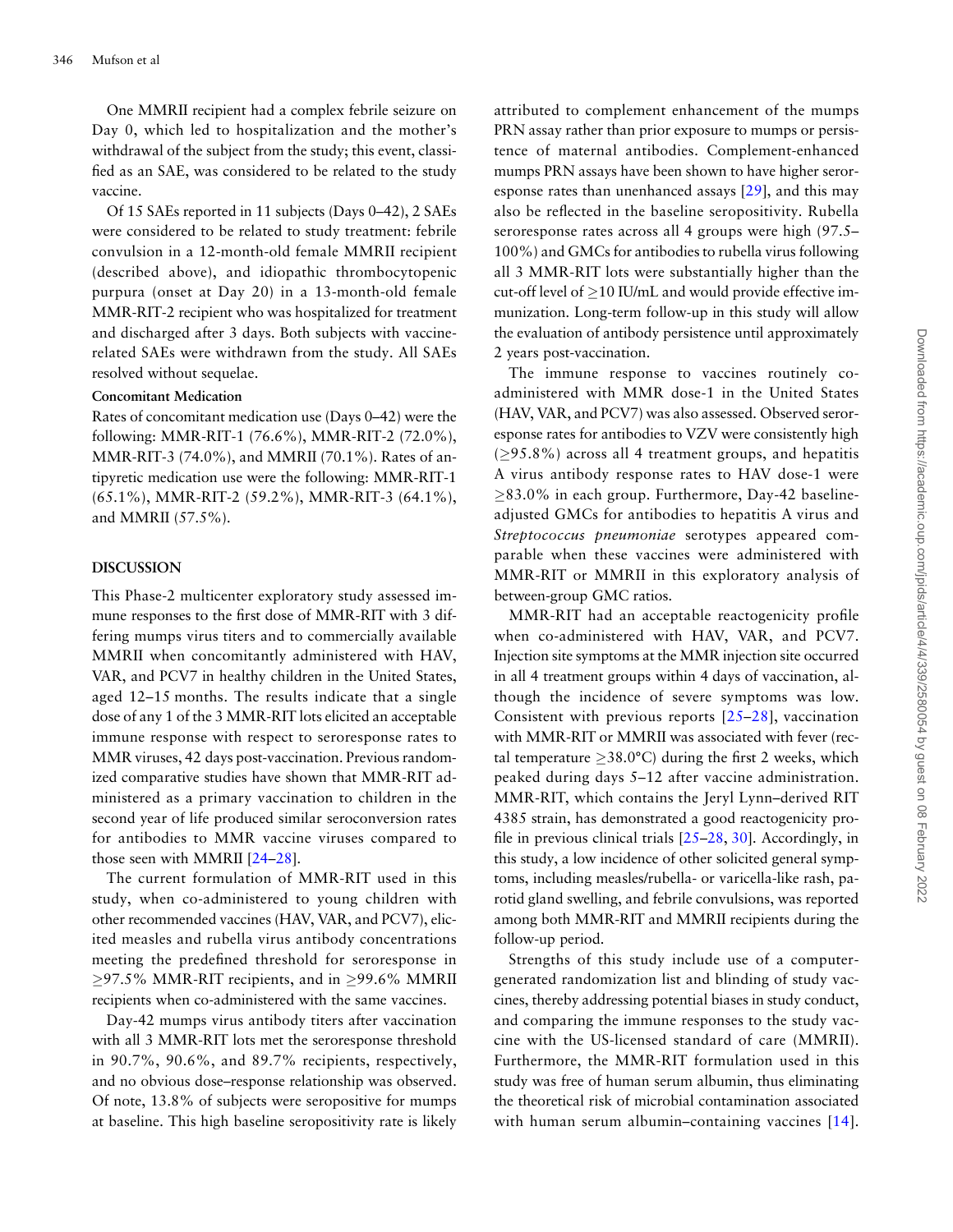One MMRII recipient had a complex febrile seizure on Day 0, which led to hospitalization and the mother's withdrawal of the subject from the study; this event, classified as an SAE, was considered to be related to the study vaccine.

Of 15 SAEs reported in 11 subjects (Days 0–42), 2 SAEs were considered to be related to study treatment: febrile convulsion in a 12-month-old female MMRII recipient (described above), and idiopathic thrombocytopenic purpura (onset at Day 20) in a 13-month-old female MMR-RIT-2 recipient who was hospitalized for treatment and discharged after 3 days. Both subjects with vaccinerelated SAEs were withdrawn from the study. All SAEs resolved without sequelae.

#### Concomitant Medication

Rates of concomitant medication use (Days 0–42) were the following: MMR-RIT-1 (76.6%), MMR-RIT-2 (72.0%), MMR-RIT-3 (74.0%), and MMRII (70.1%). Rates of antipyretic medication use were the following: MMR-RIT-1 (65.1%), MMR-RIT-2 (59.2%), MMR-RIT-3 (64.1%), and MMRII (57.5%).

#### DISCUSSION

This Phase-2 multicenter exploratory study assessed immune responses to the first dose of MMR-RIT with 3 differing mumps virus titers and to commercially available MMRII when concomitantly administered with HAV, VAR, and PCV7 in healthy children in the United States, aged 12–15 months. The results indicate that a single dose of any 1 of the 3 MMR-RIT lots elicited an acceptable immune response with respect to seroresponse rates to MMR viruses, 42 days post-vaccination. Previous randomized comparative studies have shown that MMR-RIT administered as a primary vaccination to children in the second year of life produced similar seroconversion rates for antibodies to MMR vaccine viruses compared to those seen with MMRII [[24](#page-11-0)–[28\]](#page-11-0).

The current formulation of MMR-RIT used in this study, when co-administered to young children with other recommended vaccines (HAV, VAR, and PCV7), elicited measles and rubella virus antibody concentrations meeting the predefined threshold for seroresponse in  $\geq$ 97.5% MMR-RIT recipients, and in  $\geq$ 99.6% MMRII recipients when co-administered with the same vaccines.

Day-42 mumps virus antibody titers after vaccination with all 3 MMR-RIT lots met the seroresponse threshold in 90.7%, 90.6%, and 89.7% recipients, respectively, and no obvious dose–response relationship was observed. Of note, 13.8% of subjects were seropositive for mumps at baseline. This high baseline seropositivity rate is likely attributed to complement enhancement of the mumps PRN assay rather than prior exposure to mumps or persistence of maternal antibodies. Complement-enhanced mumps PRN assays have been shown to have higher seroresponse rates than unenhanced assays [\[29\]](#page-11-0), and this may also be reflected in the baseline seropositivity. Rubella seroresponse rates across all 4 groups were high (97.5– 100%) and GMCs for antibodies to rubella virus following all 3 MMR-RIT lots were substantially higher than the cut-off level of  $\geq$ 10 IU/mL and would provide effective immunization. Long-term follow-up in this study will allow the evaluation of antibody persistence until approximately 2 years post-vaccination.

The immune response to vaccines routinely coadministered with MMR dose-1 in the United States (HAV, VAR, and PCV7) was also assessed. Observed seroresponse rates for antibodies to VZV were consistently high  $(295.8\%)$  across all 4 treatment groups, and hepatitis A virus antibody response rates to HAV dose-1 were  $\geq$ 83.0% in each group. Furthermore, Day-42 baselineadjusted GMCs for antibodies to hepatitis A virus and Streptococcus pneumoniae serotypes appeared comparable when these vaccines were administered with MMR-RIT or MMRII in this exploratory analysis of between-group GMC ratios.

MMR-RIT had an acceptable reactogenicity profile when co-administered with HAV, VAR, and PCV7. Injection site symptoms at the MMR injection site occurred in all 4 treatment groups within 4 days of vaccination, although the incidence of severe symptoms was low. Consistent with previous reports [[25](#page-11-0)–[28](#page-11-0)], vaccination with MMR-RIT or MMRII was associated with fever (rectal temperature  $\geq$ 38.0°C) during the first 2 weeks, which peaked during days 5–12 after vaccine administration. MMR-RIT, which contains the Jeryl Lynn–derived RIT 4385 strain, has demonstrated a good reactogenicity profile in previous clinical trials [\[25](#page-11-0)–[28](#page-11-0), [30\]](#page-11-0). Accordingly, in this study, a low incidence of other solicited general symptoms, including measles/rubella- or varicella-like rash, parotid gland swelling, and febrile convulsions, was reported among both MMR-RIT and MMRII recipients during the follow-up period.

Strengths of this study include use of a computergenerated randomization list and blinding of study vaccines, thereby addressing potential biases in study conduct, and comparing the immune responses to the study vaccine with the US-licensed standard of care (MMRII). Furthermore, the MMR-RIT formulation used in this study was free of human serum albumin, thus eliminating the theoretical risk of microbial contamination associated with human serum albumin–containing vaccines [[14](#page-11-0)].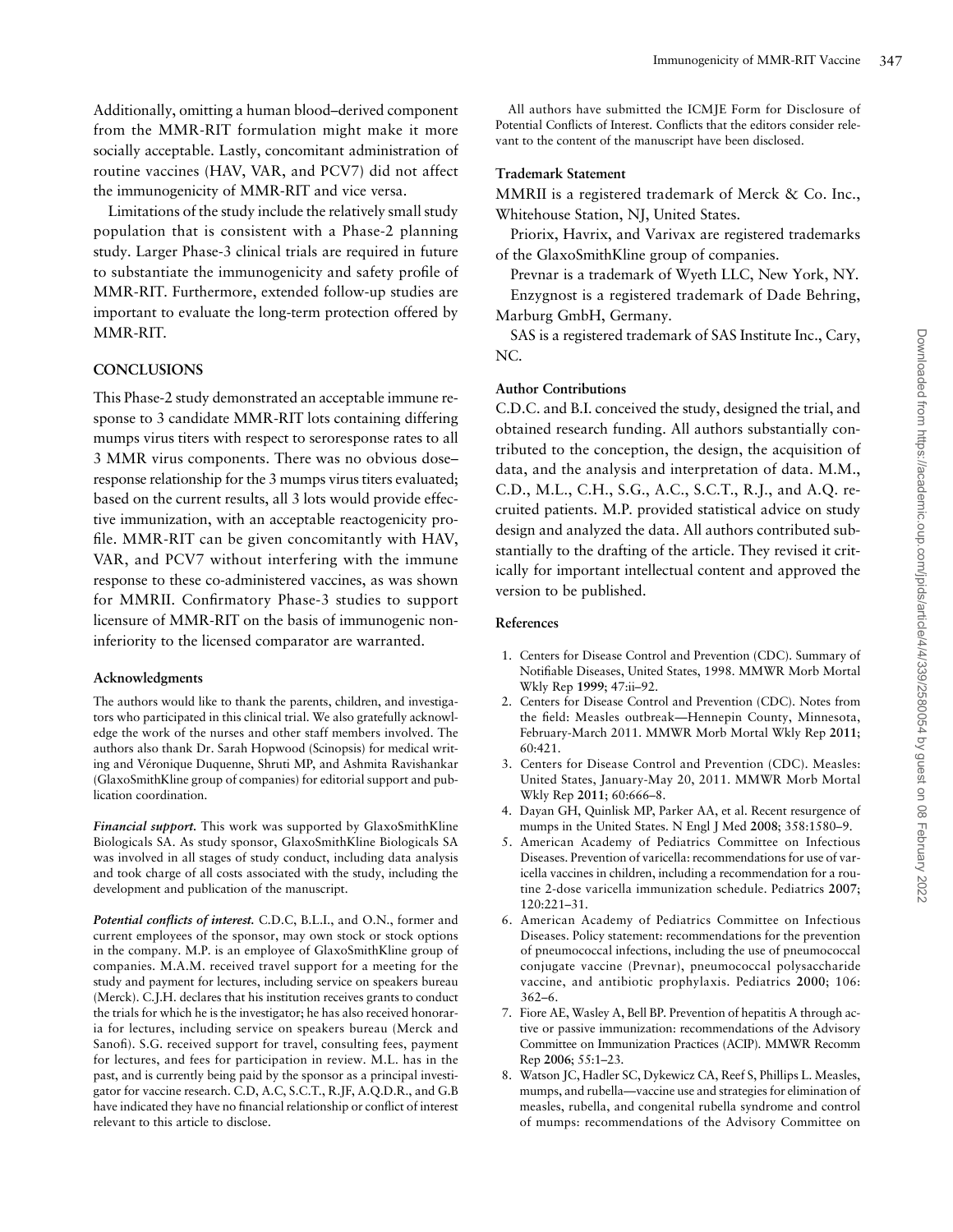<span id="page-10-0"></span>Additionally, omitting a human blood–derived component from the MMR-RIT formulation might make it more socially acceptable. Lastly, concomitant administration of routine vaccines (HAV, VAR, and PCV7) did not affect the immunogenicity of MMR-RIT and vice versa.

Limitations of the study include the relatively small study population that is consistent with a Phase-2 planning study. Larger Phase-3 clinical trials are required in future to substantiate the immunogenicity and safety profile of MMR-RIT. Furthermore, extended follow-up studies are important to evaluate the long-term protection offered by MMR-RIT.

#### **CONCLUSIONS**

This Phase-2 study demonstrated an acceptable immune response to 3 candidate MMR-RIT lots containing differing mumps virus titers with respect to seroresponse rates to all 3 MMR virus components. There was no obvious dose– response relationship for the 3 mumps virus titers evaluated; based on the current results, all 3 lots would provide effective immunization, with an acceptable reactogenicity profile. MMR-RIT can be given concomitantly with HAV, VAR, and PCV7 without interfering with the immune response to these co-administered vaccines, as was shown for MMRII. Confirmatory Phase-3 studies to support licensure of MMR-RIT on the basis of immunogenic noninferiority to the licensed comparator are warranted.

#### Acknowledgments

The authors would like to thank the parents, children, and investigators who participated in this clinical trial. We also gratefully acknowledge the work of the nurses and other staff members involved. The authors also thank Dr. Sarah Hopwood (Scinopsis) for medical writing and Véronique Duquenne, Shruti MP, and Ashmita Ravishankar (GlaxoSmithKline group of companies) for editorial support and publication coordination.

Financial support. This work was supported by GlaxoSmithKline Biologicals SA. As study sponsor, GlaxoSmithKline Biologicals SA was involved in all stages of study conduct, including data analysis and took charge of all costs associated with the study, including the development and publication of the manuscript.

Potential conflicts of interest. C.D.C, B.L.I., and O.N., former and current employees of the sponsor, may own stock or stock options in the company. M.P. is an employee of GlaxoSmithKline group of companies. M.A.M. received travel support for a meeting for the study and payment for lectures, including service on speakers bureau (Merck). C.J.H. declares that his institution receives grants to conduct the trials for which he is the investigator; he has also received honoraria for lectures, including service on speakers bureau (Merck and Sanofi). S.G. received support for travel, consulting fees, payment for lectures, and fees for participation in review. M.L. has in the past, and is currently being paid by the sponsor as a principal investigator for vaccine research. C.D, A.C, S.C.T., R.JF, A.Q.D.R., and G.B have indicated they have no financial relationship or conflict of interest relevant to this article to disclose.

All authors have submitted the ICMJE Form for Disclosure of Potential Conflicts of Interest. Conflicts that the editors consider relevant to the content of the manuscript have been disclosed.

#### Trademark Statement

MMRII is a registered trademark of Merck & Co. Inc., Whitehouse Station, NJ, United States.

Priorix, Havrix, and Varivax are registered trademarks of the GlaxoSmithKline group of companies.

Prevnar is a trademark of Wyeth LLC, New York, NY. Enzygnost is a registered trademark of Dade Behring, Marburg GmbH, Germany.

SAS is a registered trademark of SAS Institute Inc., Cary, NC.

#### Author Contributions

C.D.C. and B.I. conceived the study, designed the trial, and obtained research funding. All authors substantially contributed to the conception, the design, the acquisition of data, and the analysis and interpretation of data. M.M., C.D., M.L., C.H., S.G., A.C., S.C.T., R.J., and A.Q. recruited patients. M.P. provided statistical advice on study design and analyzed the data. All authors contributed substantially to the drafting of the article. They revised it critically for important intellectual content and approved the version to be published.

#### References

- 1. Centers for Disease Control and Prevention (CDC). Summary of Notifiable Diseases, United States, 1998. MMWR Morb Mortal Wkly Rep 1999; 47:ii–92.
- 2. Centers for Disease Control and Prevention (CDC). Notes from the field: Measles outbreak—Hennepin County, Minnesota, February-March 2011. MMWR Morb Mortal Wkly Rep 2011; 60:421.
- 3. Centers for Disease Control and Prevention (CDC). Measles: United States, January-May 20, 2011. MMWR Morb Mortal Wkly Rep 2011; 60:666–8.
- 4. Dayan GH, Quinlisk MP, Parker AA, et al. Recent resurgence of mumps in the United States. N Engl J Med 2008; 358:1580–9.
- 5. American Academy of Pediatrics Committee on Infectious Diseases. Prevention of varicella: recommendations for use of varicella vaccines in children, including a recommendation for a routine 2-dose varicella immunization schedule. Pediatrics 2007; 120:221–31.
- 6. American Academy of Pediatrics Committee on Infectious Diseases. Policy statement: recommendations for the prevention of pneumococcal infections, including the use of pneumococcal conjugate vaccine (Prevnar), pneumococcal polysaccharide vaccine, and antibiotic prophylaxis. Pediatrics 2000; 106: 362–6.
- 7. Fiore AE, Wasley A, Bell BP. Prevention of hepatitis A through active or passive immunization: recommendations of the Advisory Committee on Immunization Practices (ACIP). MMWR Recomm Rep 2006; 55:1–23.
- 8. Watson JC, Hadler SC, Dykewicz CA, Reef S, Phillips L. Measles, mumps, and rubella—vaccine use and strategies for elimination of measles, rubella, and congenital rubella syndrome and control of mumps: recommendations of the Advisory Committee on